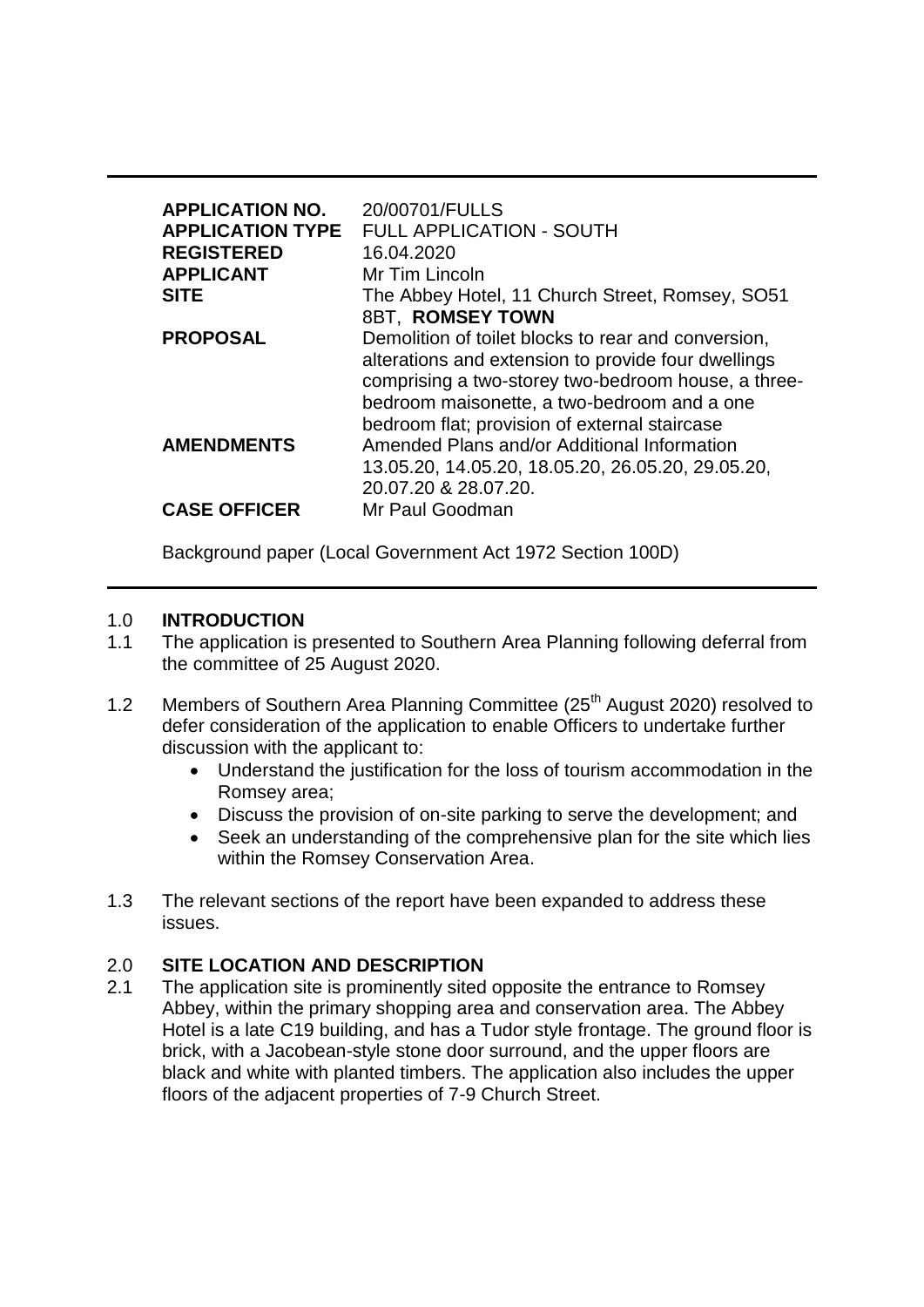| <b>APPLICATION NO.</b><br><b>APPLICATION TYPE</b><br><b>REGISTERED</b><br><b>APPLICANT</b><br><b>SITE</b> | 20/00701/FULLS<br><b>FULL APPLICATION - SOUTH</b><br>16.04.2020<br>Mr Tim Lincoln<br>The Abbey Hotel, 11 Church Street, Romsey, SO51<br><b>8BT. ROMSEY TOWN</b>                                                                                                   |
|-----------------------------------------------------------------------------------------------------------|-------------------------------------------------------------------------------------------------------------------------------------------------------------------------------------------------------------------------------------------------------------------|
| <b>PROPOSAL</b>                                                                                           | Demolition of toilet blocks to rear and conversion,<br>alterations and extension to provide four dwellings<br>comprising a two-storey two-bedroom house, a three-<br>bedroom maisonette, a two-bedroom and a one<br>bedroom flat; provision of external staircase |
| <b>AMENDMENTS</b>                                                                                         | Amended Plans and/or Additional Information<br>13.05.20, 14.05.20, 18.05.20, 26.05.20, 29.05.20,<br>20.07.20 & 28.07.20.                                                                                                                                          |
| <b>CASE OFFICER</b>                                                                                       | Mr Paul Goodman                                                                                                                                                                                                                                                   |

Background paper (Local Government Act 1972 Section 100D)

### 1.0 **INTRODUCTION**

- 1.1 The application is presented to Southern Area Planning following deferral from the committee of 25 August 2020.
- 1.2 Members of Southern Area Planning Committee (25<sup>th</sup> August 2020) resolved to defer consideration of the application to enable Officers to undertake further discussion with the applicant to:
	- Understand the justification for the loss of tourism accommodation in the Romsey area;
	- Discuss the provision of on-site parking to serve the development; and
	- Seek an understanding of the comprehensive plan for the site which lies within the Romsey Conservation Area.
- 1.3 The relevant sections of the report have been expanded to address these issues.

## 2.0 **SITE LOCATION AND DESCRIPTION**

2.1 The application site is prominently sited opposite the entrance to Romsey Abbey, within the primary shopping area and conservation area. The Abbey Hotel is a late C19 building, and has a Tudor style frontage. The ground floor is brick, with a Jacobean-style stone door surround, and the upper floors are black and white with planted timbers. The application also includes the upper floors of the adjacent properties of 7-9 Church Street.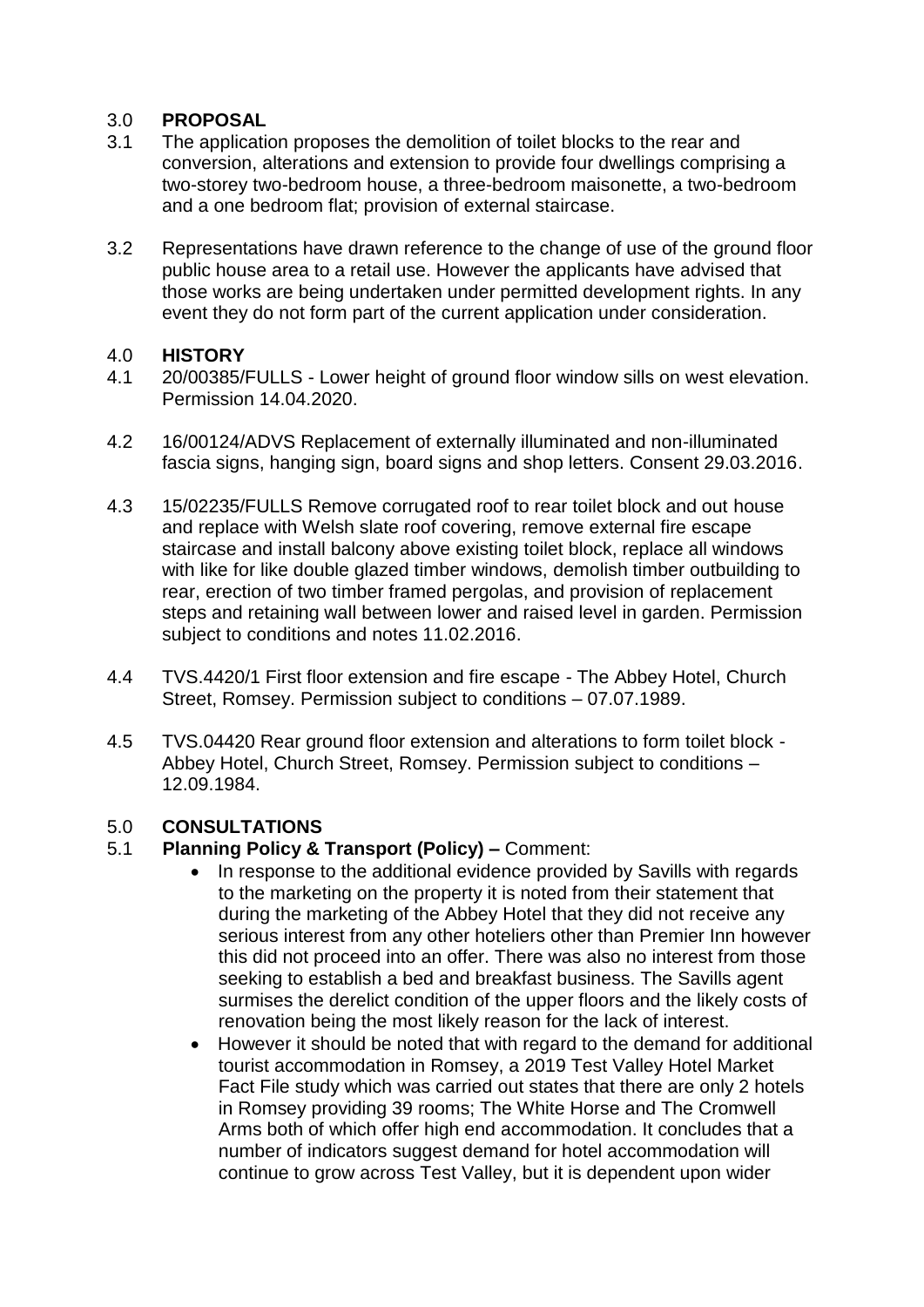## 3.0 **PROPOSAL**

- 3.1 The application proposes the demolition of toilet blocks to the rear and conversion, alterations and extension to provide four dwellings comprising a two-storey two-bedroom house, a three-bedroom maisonette, a two-bedroom and a one bedroom flat; provision of external staircase.
- 3.2 Representations have drawn reference to the change of use of the ground floor public house area to a retail use. However the applicants have advised that those works are being undertaken under permitted development rights. In any event they do not form part of the current application under consideration.

### 4.0 **HISTORY**

- 4.1 20/00385/FULLS Lower height of ground floor window sills on west elevation. Permission 14.04.2020.
- 4.2 16/00124/ADVS Replacement of externally illuminated and non-illuminated fascia signs, hanging sign, board signs and shop letters. Consent 29.03.2016.
- 4.3 15/02235/FULLS Remove corrugated roof to rear toilet block and out house and replace with Welsh slate roof covering, remove external fire escape staircase and install balcony above existing toilet block, replace all windows with like for like double glazed timber windows, demolish timber outbuilding to rear, erection of two timber framed pergolas, and provision of replacement steps and retaining wall between lower and raised level in garden. Permission subject to conditions and notes 11.02.2016.
- 4.4 TVS.4420/1 First floor extension and fire escape The Abbey Hotel, Church Street, Romsey. Permission subject to conditions – 07.07.1989.
- 4.5 TVS.04420 Rear ground floor extension and alterations to form toilet block Abbey Hotel, Church Street, Romsey. Permission subject to conditions – 12.09.1984.

## 5.0 **CONSULTATIONS**

## 5.1 **Planning Policy & Transport (Policy) –** Comment:

- In response to the additional evidence provided by Savills with regards to the marketing on the property it is noted from their statement that during the marketing of the Abbey Hotel that they did not receive any serious interest from any other hoteliers other than Premier Inn however this did not proceed into an offer. There was also no interest from those seeking to establish a bed and breakfast business. The Savills agent surmises the derelict condition of the upper floors and the likely costs of renovation being the most likely reason for the lack of interest.
- However it should be noted that with regard to the demand for additional tourist accommodation in Romsey, a 2019 Test Valley Hotel Market Fact File study which was carried out states that there are only 2 hotels in Romsey providing 39 rooms; The White Horse and The Cromwell Arms both of which offer high end accommodation. It concludes that a number of indicators suggest demand for hotel accommodation will continue to grow across Test Valley, but it is dependent upon wider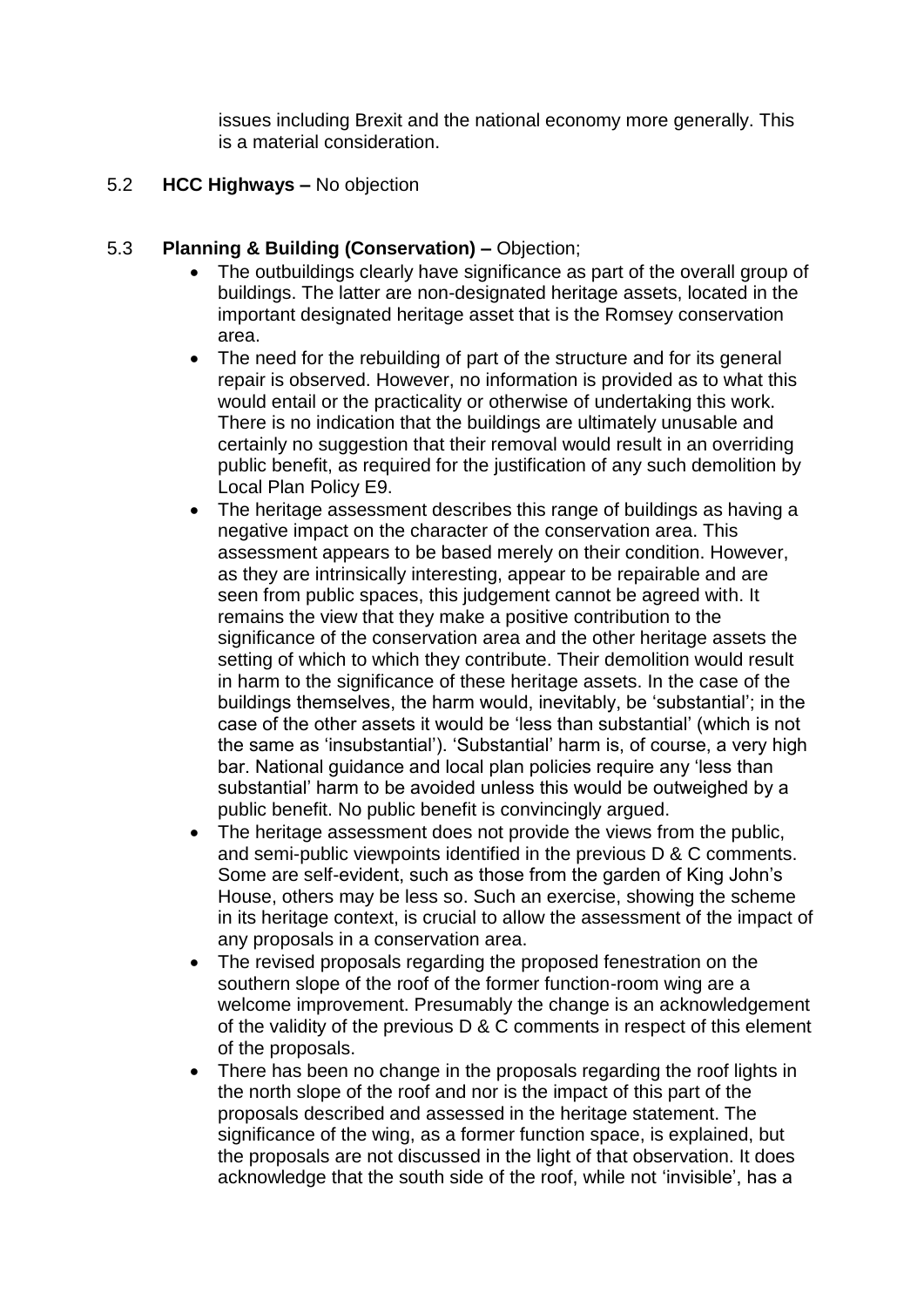issues including Brexit and the national economy more generally. This is a material consideration.

#### 5.2 **HCC Highways –** No objection

### 5.3 **Planning & Building (Conservation) –** Objection;

- The outbuildings clearly have significance as part of the overall group of buildings. The latter are non-designated heritage assets, located in the important designated heritage asset that is the Romsey conservation area.
- The need for the rebuilding of part of the structure and for its general repair is observed. However, no information is provided as to what this would entail or the practicality or otherwise of undertaking this work. There is no indication that the buildings are ultimately unusable and certainly no suggestion that their removal would result in an overriding public benefit, as required for the justification of any such demolition by Local Plan Policy E9.
- The heritage assessment describes this range of buildings as having a negative impact on the character of the conservation area. This assessment appears to be based merely on their condition. However, as they are intrinsically interesting, appear to be repairable and are seen from public spaces, this judgement cannot be agreed with. It remains the view that they make a positive contribution to the significance of the conservation area and the other heritage assets the setting of which to which they contribute. Their demolition would result in harm to the significance of these heritage assets. In the case of the buildings themselves, the harm would, inevitably, be 'substantial'; in the case of the other assets it would be 'less than substantial' (which is not the same as 'insubstantial'). 'Substantial' harm is, of course, a very high bar. National guidance and local plan policies require any 'less than substantial' harm to be avoided unless this would be outweighed by a public benefit. No public benefit is convincingly argued.
- The heritage assessment does not provide the views from the public, and semi-public viewpoints identified in the previous D & C comments. Some are self-evident, such as those from the garden of King John's House, others may be less so. Such an exercise, showing the scheme in its heritage context, is crucial to allow the assessment of the impact of any proposals in a conservation area.
- The revised proposals regarding the proposed fenestration on the southern slope of the roof of the former function-room wing are a welcome improvement. Presumably the change is an acknowledgement of the validity of the previous D & C comments in respect of this element of the proposals.
- There has been no change in the proposals regarding the roof lights in the north slope of the roof and nor is the impact of this part of the proposals described and assessed in the heritage statement. The significance of the wing, as a former function space, is explained, but the proposals are not discussed in the light of that observation. It does acknowledge that the south side of the roof, while not 'invisible', has a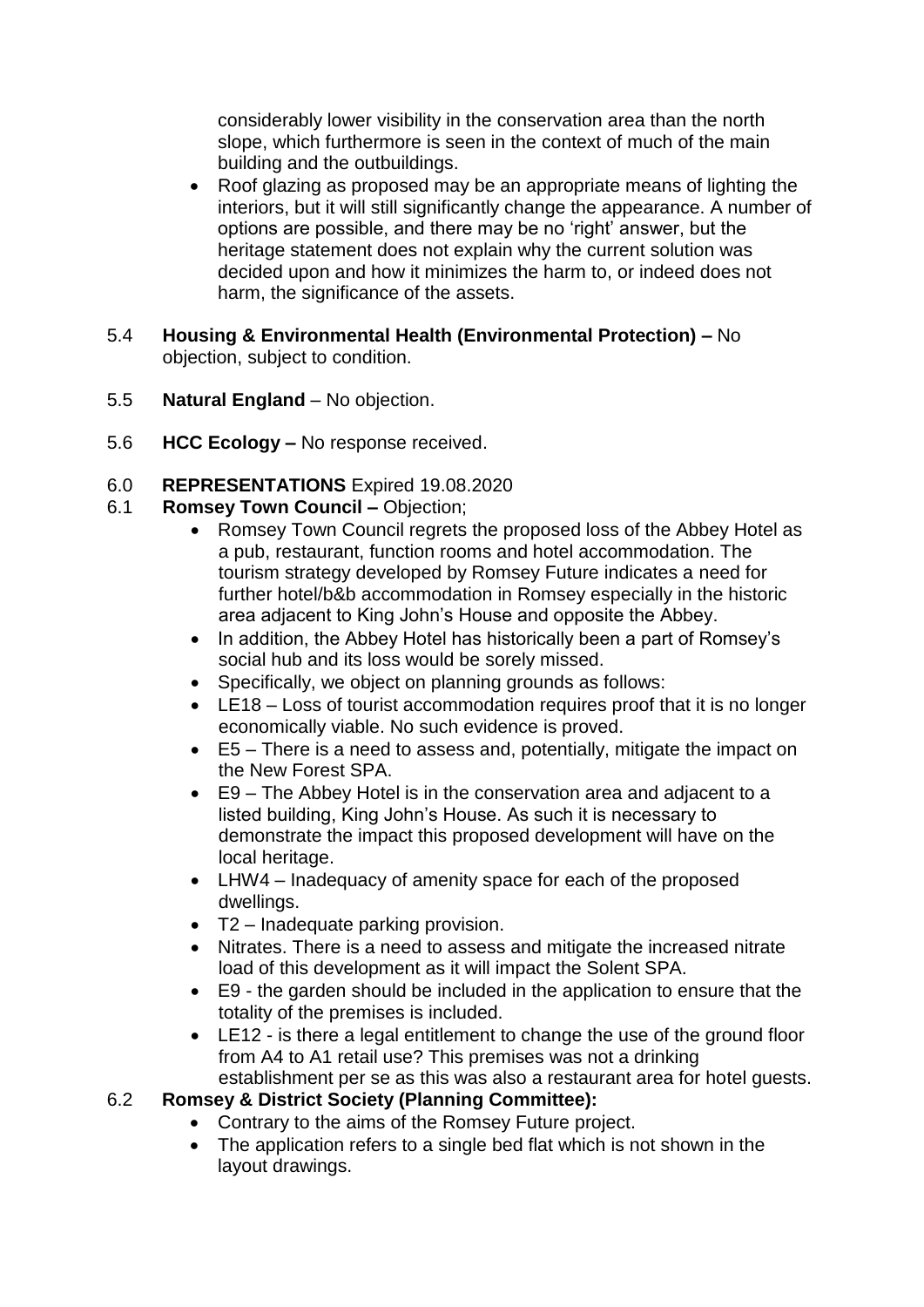considerably lower visibility in the conservation area than the north slope, which furthermore is seen in the context of much of the main building and the outbuildings.

- Roof glazing as proposed may be an appropriate means of lighting the interiors, but it will still significantly change the appearance. A number of options are possible, and there may be no 'right' answer, but the heritage statement does not explain why the current solution was decided upon and how it minimizes the harm to, or indeed does not harm, the significance of the assets.
- 5.4 **Housing & Environmental Health (Environmental Protection) –** No objection, subject to condition.
- 5.5 **Natural England**  No objection.
- 5.6 **HCC Ecology –** No response received.

# 6.0 **REPRESENTATIONS** Expired 19.08.2020

- 6.1 **Romsey Town Council –** Objection;
	- Romsey Town Council regrets the proposed loss of the Abbey Hotel as a pub, restaurant, function rooms and hotel accommodation. The tourism strategy developed by Romsey Future indicates a need for further hotel/b&b accommodation in Romsey especially in the historic area adjacent to King John's House and opposite the Abbey.
	- In addition, the Abbey Hotel has historically been a part of Romsey's social hub and its loss would be sorely missed.
	- Specifically, we object on planning grounds as follows:
	- LE18 Loss of tourist accommodation requires proof that it is no longer economically viable. No such evidence is proved.
	- E5 There is a need to assess and, potentially, mitigate the impact on the New Forest SPA.
	- E9 The Abbey Hotel is in the conservation area and adjacent to a listed building, King John's House. As such it is necessary to demonstrate the impact this proposed development will have on the local heritage.
	- LHW4 Inadequacy of amenity space for each of the proposed dwellings.
	- T2 Inadequate parking provision.
	- Nitrates. There is a need to assess and mitigate the increased nitrate load of this development as it will impact the Solent SPA.
	- E9 the garden should be included in the application to ensure that the totality of the premises is included.
	- LE12 is there a legal entitlement to change the use of the ground floor from A4 to A1 retail use? This premises was not a drinking establishment per se as this was also a restaurant area for hotel guests.

# 6.2 **Romsey & District Society (Planning Committee):**

- Contrary to the aims of the Romsey Future project.
- The application refers to a single bed flat which is not shown in the layout drawings.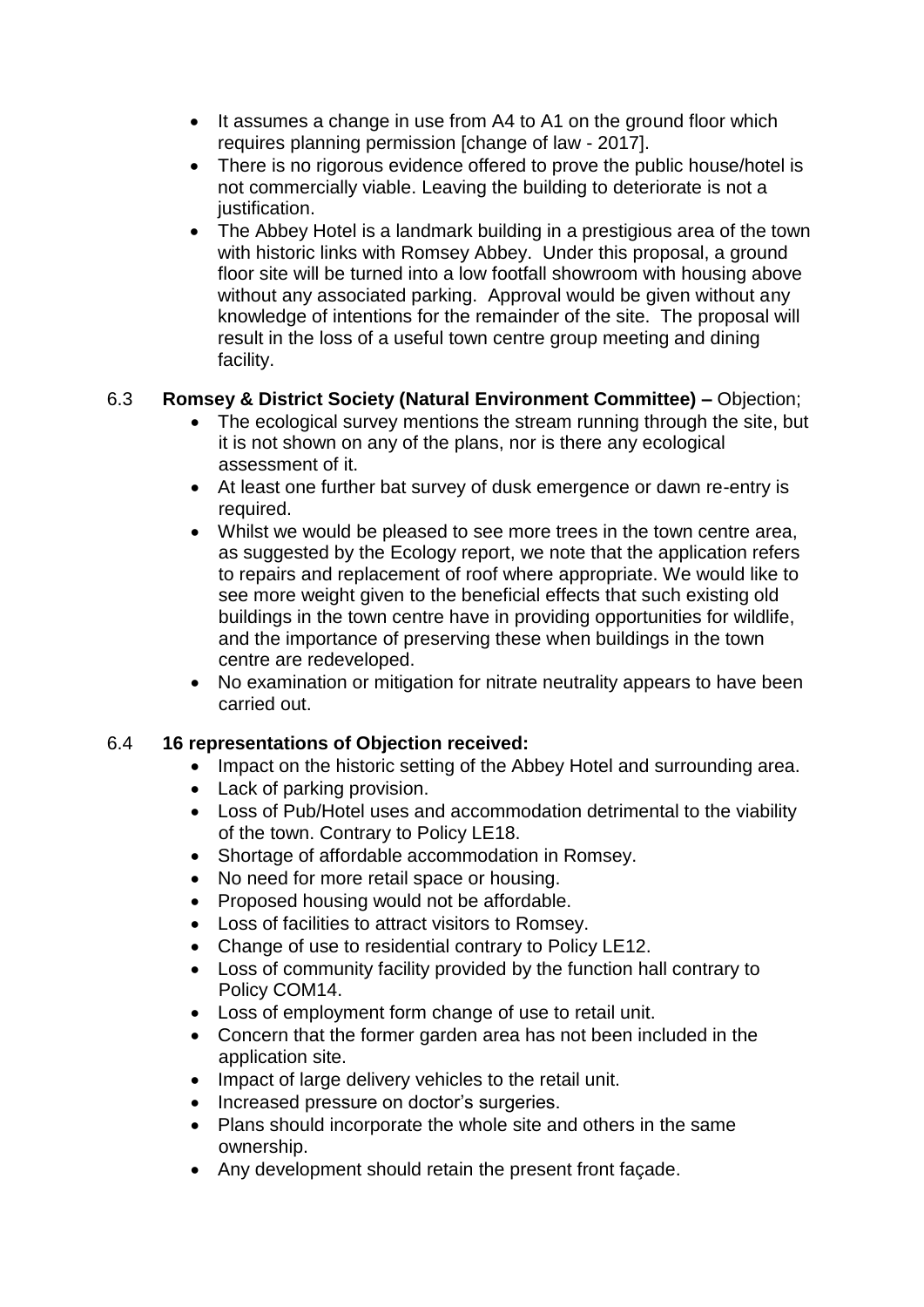- It assumes a change in use from A4 to A1 on the ground floor which requires planning permission [change of law - 2017].
- There is no rigorous evidence offered to prove the public house/hotel is not commercially viable. Leaving the building to deteriorate is not a justification.
- The Abbey Hotel is a landmark building in a prestigious area of the town with historic links with Romsey Abbey. Under this proposal, a ground floor site will be turned into a low footfall showroom with housing above without any associated parking. Approval would be given without any knowledge of intentions for the remainder of the site. The proposal will result in the loss of a useful town centre group meeting and dining facility.

# 6.3 **Romsey & District Society (Natural Environment Committee) –** Objection;

- The ecological survey mentions the stream running through the site, but it is not shown on any of the plans, nor is there any ecological assessment of it.
- At least one further bat survey of dusk emergence or dawn re-entry is required.
- Whilst we would be pleased to see more trees in the town centre area, as suggested by the Ecology report, we note that the application refers to repairs and replacement of roof where appropriate. We would like to see more weight given to the beneficial effects that such existing old buildings in the town centre have in providing opportunities for wildlife, and the importance of preserving these when buildings in the town centre are redeveloped.
- No examination or mitigation for nitrate neutrality appears to have been carried out.

# 6.4 **16 representations of Objection received:**

- Impact on the historic setting of the Abbey Hotel and surrounding area.
- Lack of parking provision.
- Loss of Pub/Hotel uses and accommodation detrimental to the viability of the town. Contrary to Policy LE18.
- Shortage of affordable accommodation in Romsey.
- No need for more retail space or housing.
- Proposed housing would not be affordable.
- Loss of facilities to attract visitors to Romsey.
- Change of use to residential contrary to Policy LE12.
- Loss of community facility provided by the function hall contrary to Policy COM14.
- Loss of employment form change of use to retail unit.
- Concern that the former garden area has not been included in the application site.
- Impact of large delivery vehicles to the retail unit.
- Increased pressure on doctor's surgeries.
- Plans should incorporate the whole site and others in the same ownership.
- Any development should retain the present front façade.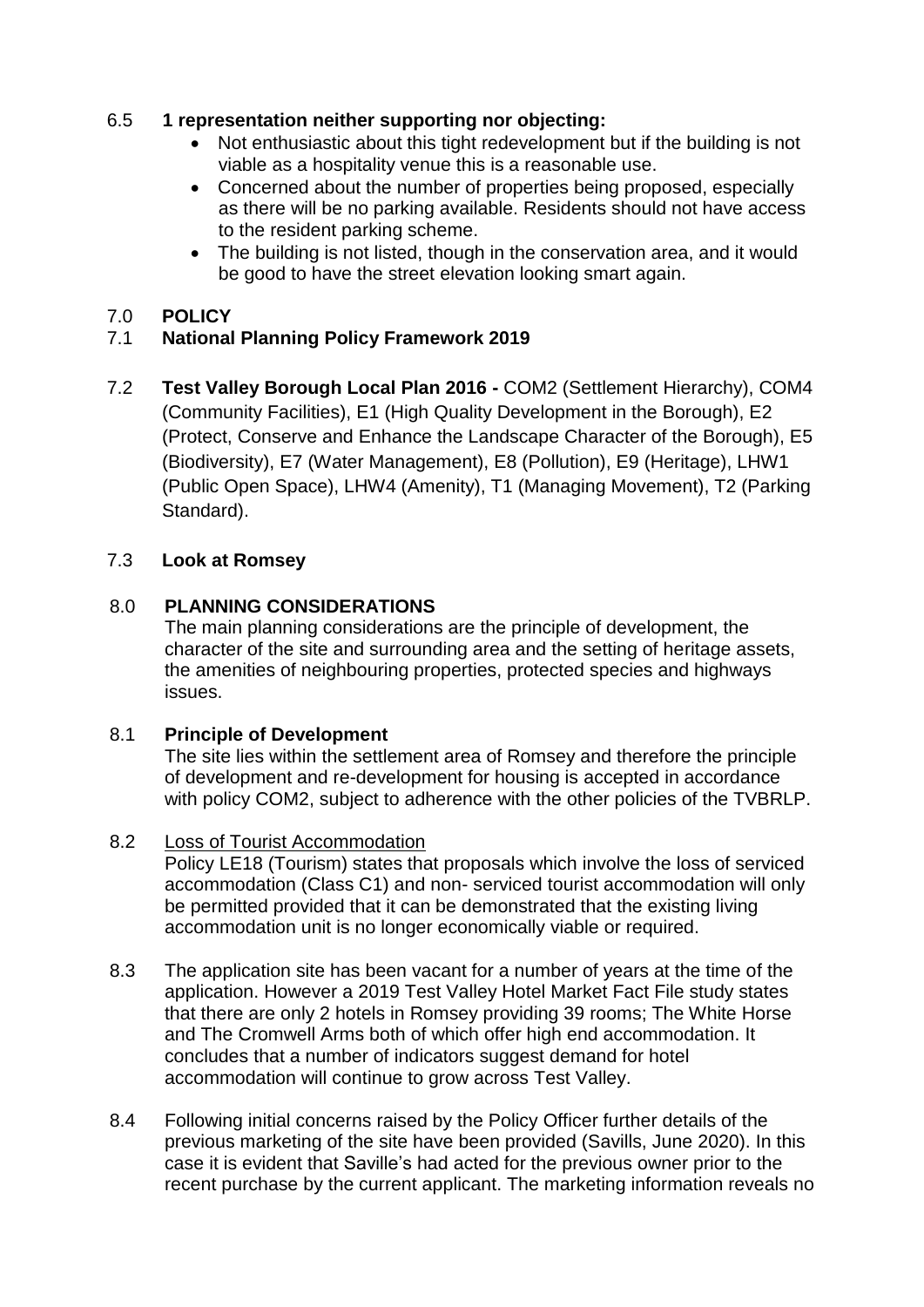# 6.5 **1 representation neither supporting nor objecting:**

- Not enthusiastic about this tight redevelopment but if the building is not viable as a hospitality venue this is a reasonable use.
- Concerned about the number of properties being proposed, especially as there will be no parking available. Residents should not have access to the resident parking scheme.
- The building is not listed, though in the conservation area, and it would be good to have the street elevation looking smart again.

# 7.0 **POLICY**

# 7.1 **National Planning Policy Framework 2019**

7.2 **Test Valley Borough Local Plan 2016 -** COM2 (Settlement Hierarchy), COM4 (Community Facilities), E1 (High Quality Development in the Borough), E2 (Protect, Conserve and Enhance the Landscape Character of the Borough), E5 (Biodiversity), E7 (Water Management), E8 (Pollution), E9 (Heritage), LHW1 (Public Open Space), LHW4 (Amenity), T1 (Managing Movement), T2 (Parking Standard).

# 7.3 **Look at Romsey**

# 8.0 **PLANNING CONSIDERATIONS**

The main planning considerations are the principle of development, the character of the site and surrounding area and the setting of heritage assets, the amenities of neighbouring properties, protected species and highways issues.

## 8.1 **Principle of Development**

The site lies within the settlement area of Romsey and therefore the principle of development and re-development for housing is accepted in accordance with policy COM2, subject to adherence with the other policies of the TVBRLP.

## 8.2 Loss of Tourist Accommodation

Policy LE18 (Tourism) states that proposals which involve the loss of serviced accommodation (Class C1) and non- serviced tourist accommodation will only be permitted provided that it can be demonstrated that the existing living accommodation unit is no longer economically viable or required.

- 8.3 The application site has been vacant for a number of years at the time of the application. However a 2019 Test Valley Hotel Market Fact File study states that there are only 2 hotels in Romsey providing 39 rooms; The White Horse and The Cromwell Arms both of which offer high end accommodation. It concludes that a number of indicators suggest demand for hotel accommodation will continue to grow across Test Valley.
- 8.4 Following initial concerns raised by the Policy Officer further details of the previous marketing of the site have been provided (Savills, June 2020). In this case it is evident that Saville's had acted for the previous owner prior to the recent purchase by the current applicant. The marketing information reveals no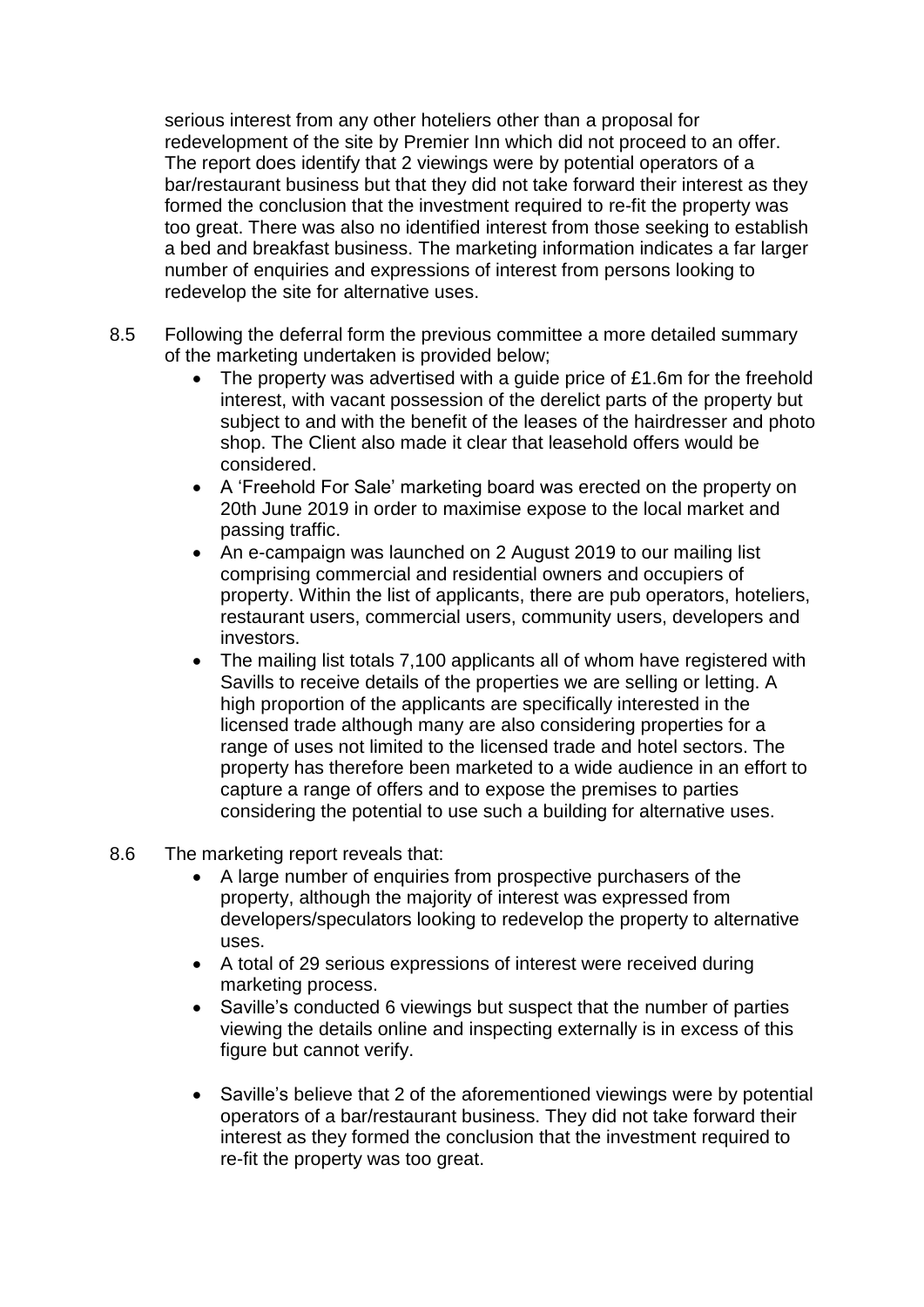serious interest from any other hoteliers other than a proposal for redevelopment of the site by Premier Inn which did not proceed to an offer. The report does identify that 2 viewings were by potential operators of a bar/restaurant business but that they did not take forward their interest as they formed the conclusion that the investment required to re-fit the property was too great. There was also no identified interest from those seeking to establish a bed and breakfast business. The marketing information indicates a far larger number of enquiries and expressions of interest from persons looking to redevelop the site for alternative uses.

- 8.5 Following the deferral form the previous committee a more detailed summary of the marketing undertaken is provided below;
	- The property was advertised with a guide price of £1.6m for the freehold interest, with vacant possession of the derelict parts of the property but subject to and with the benefit of the leases of the hairdresser and photo shop. The Client also made it clear that leasehold offers would be considered.
	- A 'Freehold For Sale' marketing board was erected on the property on 20th June 2019 in order to maximise expose to the local market and passing traffic.
	- An e-campaign was launched on 2 August 2019 to our mailing list comprising commercial and residential owners and occupiers of property. Within the list of applicants, there are pub operators, hoteliers, restaurant users, commercial users, community users, developers and investors.
	- The mailing list totals 7,100 applicants all of whom have registered with Savills to receive details of the properties we are selling or letting. A high proportion of the applicants are specifically interested in the licensed trade although many are also considering properties for a range of uses not limited to the licensed trade and hotel sectors. The property has therefore been marketed to a wide audience in an effort to capture a range of offers and to expose the premises to parties considering the potential to use such a building for alternative uses.
- 8.6 The marketing report reveals that:
	- A large number of enquiries from prospective purchasers of the property, although the majority of interest was expressed from developers/speculators looking to redevelop the property to alternative uses.
	- A total of 29 serious expressions of interest were received during marketing process.
	- Saville's conducted 6 viewings but suspect that the number of parties viewing the details online and inspecting externally is in excess of this figure but cannot verify.
	- Saville's believe that 2 of the aforementioned viewings were by potential operators of a bar/restaurant business. They did not take forward their interest as they formed the conclusion that the investment required to re-fit the property was too great.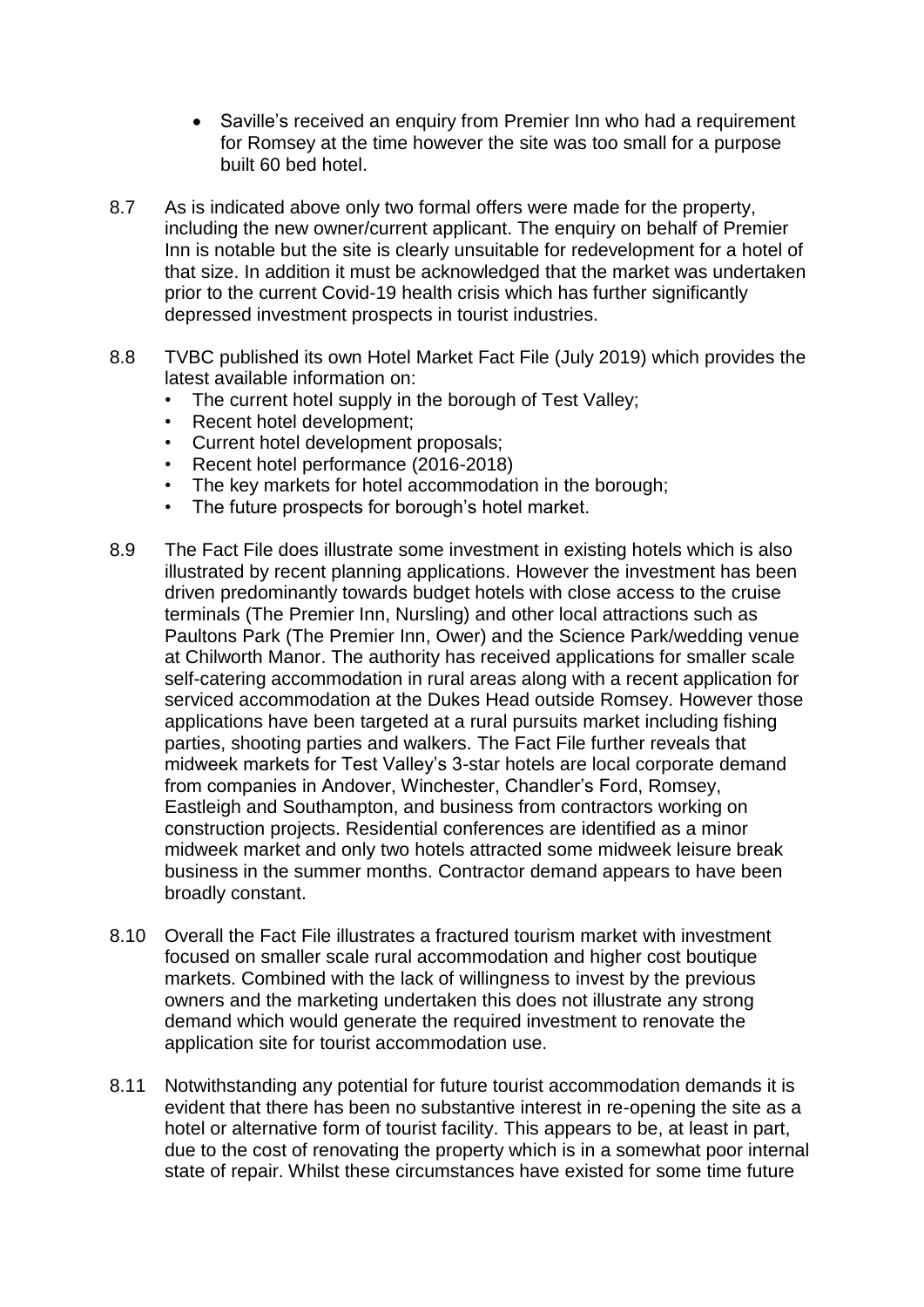- Saville's received an enquiry from Premier Inn who had a requirement for Romsey at the time however the site was too small for a purpose built 60 bed hotel.
- 8.7 As is indicated above only two formal offers were made for the property, including the new owner/current applicant. The enquiry on behalf of Premier Inn is notable but the site is clearly unsuitable for redevelopment for a hotel of that size. In addition it must be acknowledged that the market was undertaken prior to the current Covid-19 health crisis which has further significantly depressed investment prospects in tourist industries.
- 8.8 TVBC published its own Hotel Market Fact File (July 2019) which provides the latest available information on:
	- The current hotel supply in the borough of Test Valley:
	- Recent hotel development:
	- Current hotel development proposals;
	- Recent hotel performance (2016-2018)
	- The key markets for hotel accommodation in the borough;
	- The future prospects for borough's hotel market.
- 8.9 The Fact File does illustrate some investment in existing hotels which is also illustrated by recent planning applications. However the investment has been driven predominantly towards budget hotels with close access to the cruise terminals (The Premier Inn, Nursling) and other local attractions such as Paultons Park (The Premier Inn, Ower) and the Science Park/wedding venue at Chilworth Manor. The authority has received applications for smaller scale self-catering accommodation in rural areas along with a recent application for serviced accommodation at the Dukes Head outside Romsey. However those applications have been targeted at a rural pursuits market including fishing parties, shooting parties and walkers. The Fact File further reveals that midweek markets for Test Valley's 3-star hotels are local corporate demand from companies in Andover, Winchester, Chandler's Ford, Romsey, Eastleigh and Southampton, and business from contractors working on construction projects. Residential conferences are identified as a minor midweek market and only two hotels attracted some midweek leisure break business in the summer months. Contractor demand appears to have been broadly constant.
- 8.10 Overall the Fact File illustrates a fractured tourism market with investment focused on smaller scale rural accommodation and higher cost boutique markets. Combined with the lack of willingness to invest by the previous owners and the marketing undertaken this does not illustrate any strong demand which would generate the required investment to renovate the application site for tourist accommodation use.
- 8.11 Notwithstanding any potential for future tourist accommodation demands it is evident that there has been no substantive interest in re-opening the site as a hotel or alternative form of tourist facility. This appears to be, at least in part, due to the cost of renovating the property which is in a somewhat poor internal state of repair. Whilst these circumstances have existed for some time future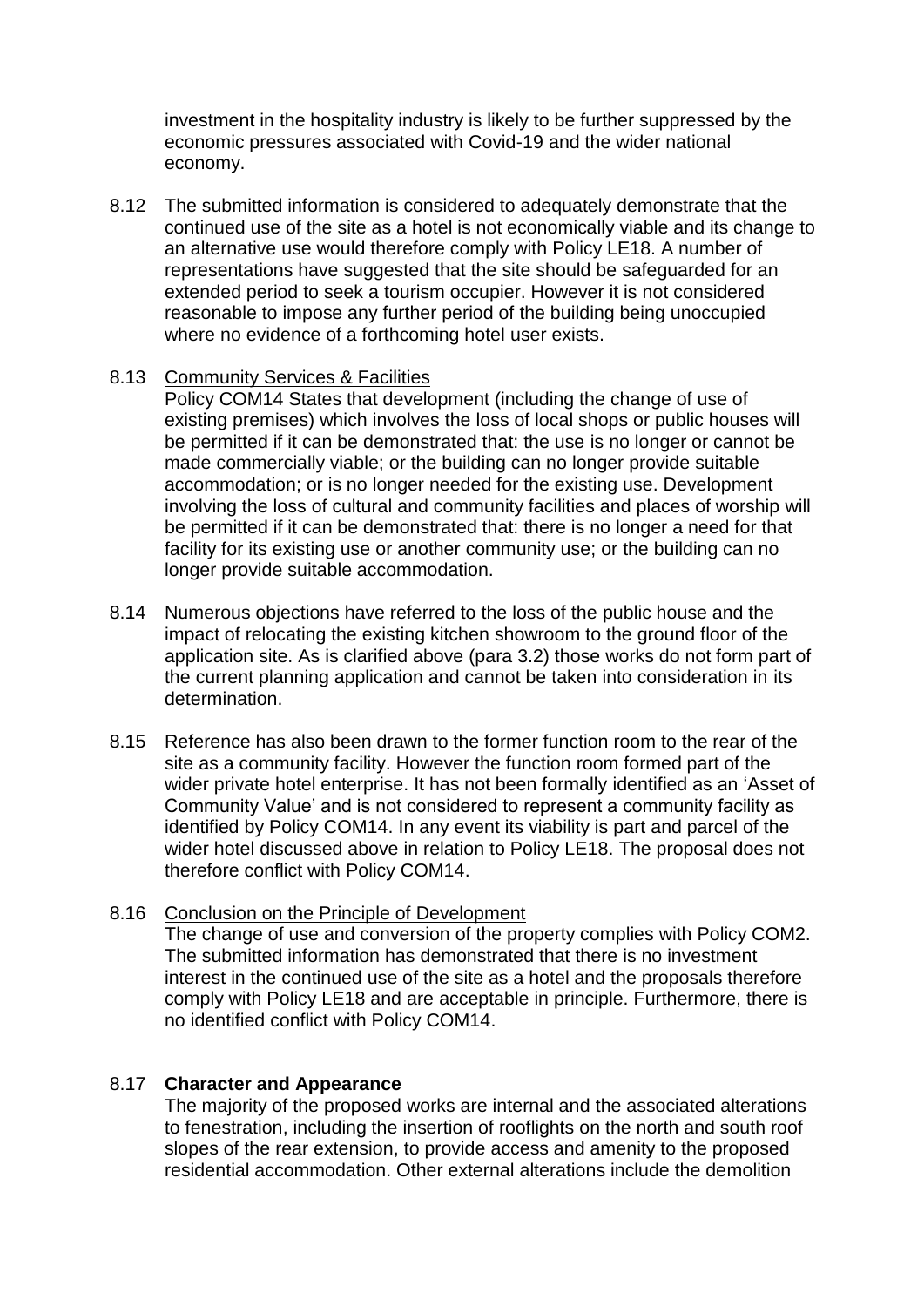investment in the hospitality industry is likely to be further suppressed by the economic pressures associated with Covid-19 and the wider national economy.

8.12 The submitted information is considered to adequately demonstrate that the continued use of the site as a hotel is not economically viable and its change to an alternative use would therefore comply with Policy LE18. A number of representations have suggested that the site should be safeguarded for an extended period to seek a tourism occupier. However it is not considered reasonable to impose any further period of the building being unoccupied where no evidence of a forthcoming hotel user exists.

#### 8.13 Community Services & Facilities

Policy COM14 States that development (including the change of use of existing premises) which involves the loss of local shops or public houses will be permitted if it can be demonstrated that: the use is no longer or cannot be made commercially viable; or the building can no longer provide suitable accommodation; or is no longer needed for the existing use. Development involving the loss of cultural and community facilities and places of worship will be permitted if it can be demonstrated that: there is no longer a need for that facility for its existing use or another community use; or the building can no longer provide suitable accommodation.

- 8.14 Numerous objections have referred to the loss of the public house and the impact of relocating the existing kitchen showroom to the ground floor of the application site. As is clarified above (para 3.2) those works do not form part of the current planning application and cannot be taken into consideration in its determination.
- 8.15 Reference has also been drawn to the former function room to the rear of the site as a community facility. However the function room formed part of the wider private hotel enterprise. It has not been formally identified as an 'Asset of Community Value' and is not considered to represent a community facility as identified by Policy COM14. In any event its viability is part and parcel of the wider hotel discussed above in relation to Policy LE18. The proposal does not therefore conflict with Policy COM14.

#### 8.16 Conclusion on the Principle of Development

The change of use and conversion of the property complies with Policy COM2. The submitted information has demonstrated that there is no investment interest in the continued use of the site as a hotel and the proposals therefore comply with Policy LE18 and are acceptable in principle. Furthermore, there is no identified conflict with Policy COM14.

#### 8.17 **Character and Appearance**

The majority of the proposed works are internal and the associated alterations to fenestration, including the insertion of rooflights on the north and south roof slopes of the rear extension, to provide access and amenity to the proposed residential accommodation. Other external alterations include the demolition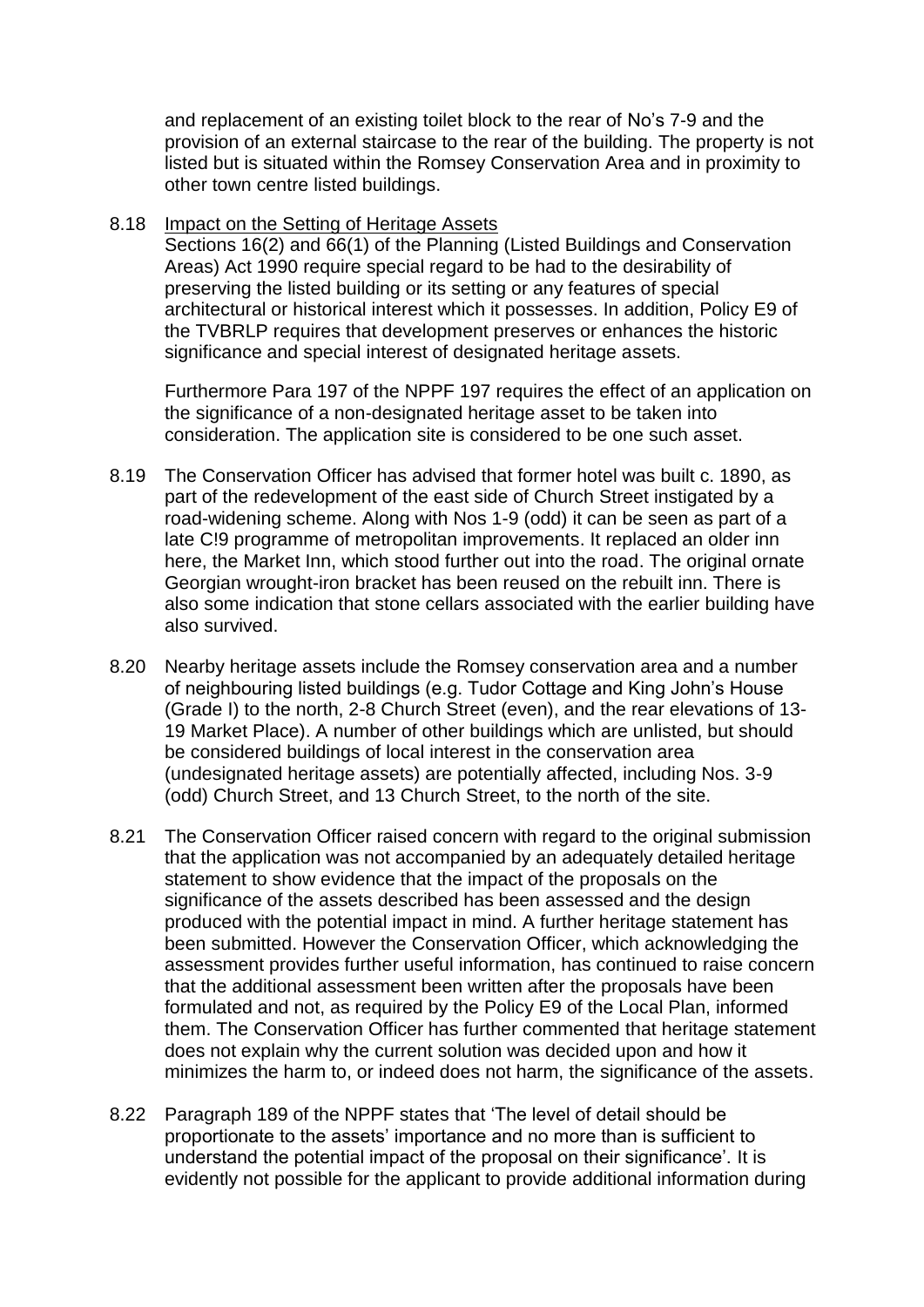and replacement of an existing toilet block to the rear of No's 7-9 and the provision of an external staircase to the rear of the building. The property is not listed but is situated within the Romsey Conservation Area and in proximity to other town centre listed buildings.

8.18 Impact on the Setting of Heritage Assets

Sections 16(2) and 66(1) of the Planning (Listed Buildings and Conservation Areas) Act 1990 require special regard to be had to the desirability of preserving the listed building or its setting or any features of special architectural or historical interest which it possesses. In addition, Policy E9 of the TVBRLP requires that development preserves or enhances the historic significance and special interest of designated heritage assets.

Furthermore Para 197 of the NPPF 197 requires the effect of an application on the significance of a non-designated heritage asset to be taken into consideration. The application site is considered to be one such asset.

- 8.19 The Conservation Officer has advised that former hotel was built c. 1890, as part of the redevelopment of the east side of Church Street instigated by a road-widening scheme. Along with Nos 1-9 (odd) it can be seen as part of a late C!9 programme of metropolitan improvements. It replaced an older inn here, the Market Inn, which stood further out into the road. The original ornate Georgian wrought-iron bracket has been reused on the rebuilt inn. There is also some indication that stone cellars associated with the earlier building have also survived.
- 8.20 Nearby heritage assets include the Romsey conservation area and a number of neighbouring listed buildings (e.g. Tudor Cottage and King John's House (Grade I) to the north, 2-8 Church Street (even), and the rear elevations of 13- 19 Market Place). A number of other buildings which are unlisted, but should be considered buildings of local interest in the conservation area (undesignated heritage assets) are potentially affected, including Nos. 3-9 (odd) Church Street, and 13 Church Street, to the north of the site.
- 8.21 The Conservation Officer raised concern with regard to the original submission that the application was not accompanied by an adequately detailed heritage statement to show evidence that the impact of the proposals on the significance of the assets described has been assessed and the design produced with the potential impact in mind. A further heritage statement has been submitted. However the Conservation Officer, which acknowledging the assessment provides further useful information, has continued to raise concern that the additional assessment been written after the proposals have been formulated and not, as required by the Policy E9 of the Local Plan, informed them. The Conservation Officer has further commented that heritage statement does not explain why the current solution was decided upon and how it minimizes the harm to, or indeed does not harm, the significance of the assets.
- 8.22 Paragraph 189 of the NPPF states that 'The level of detail should be proportionate to the assets' importance and no more than is sufficient to understand the potential impact of the proposal on their significance'. It is evidently not possible for the applicant to provide additional information during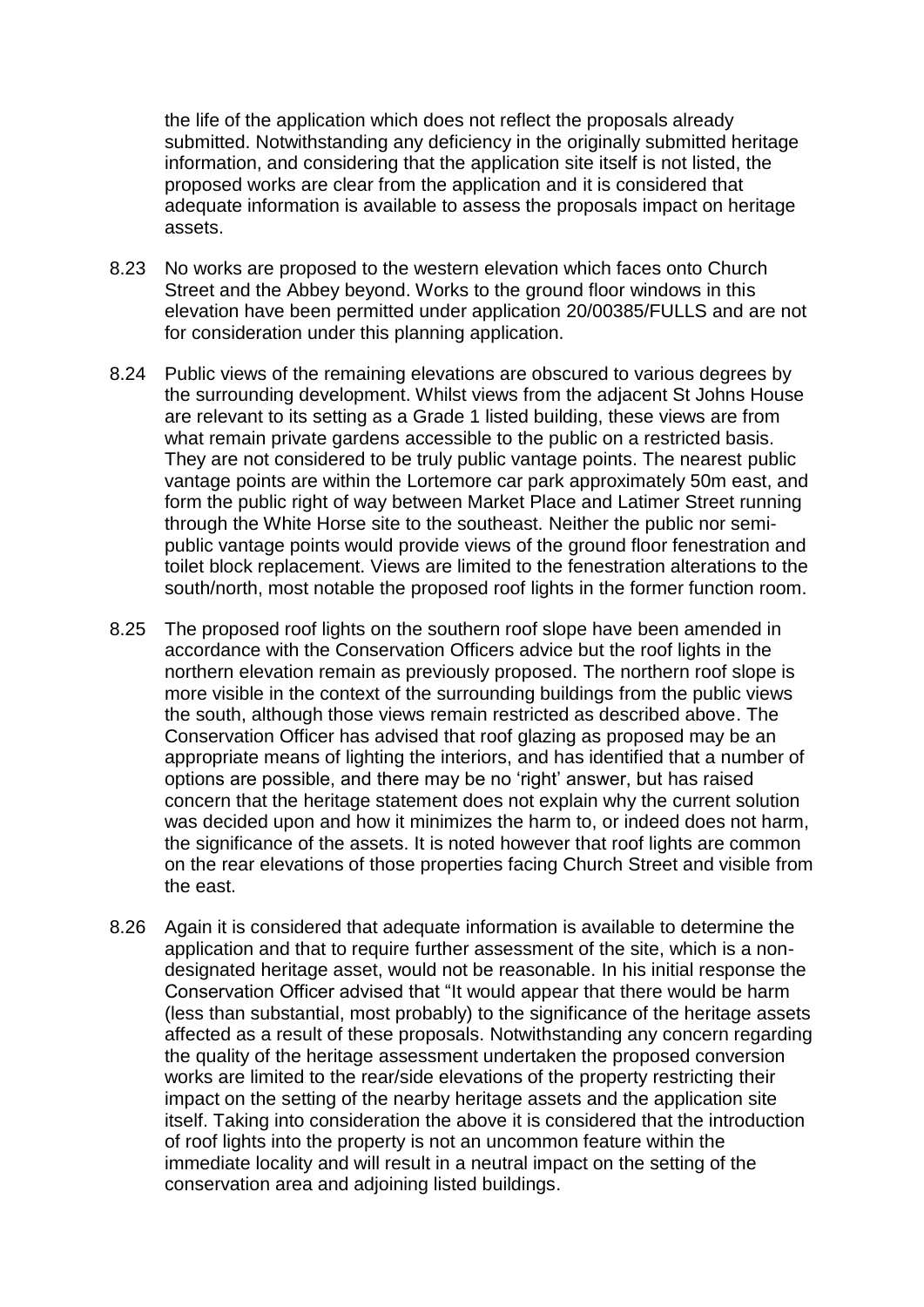the life of the application which does not reflect the proposals already submitted. Notwithstanding any deficiency in the originally submitted heritage information, and considering that the application site itself is not listed, the proposed works are clear from the application and it is considered that adequate information is available to assess the proposals impact on heritage assets.

- 8.23 No works are proposed to the western elevation which faces onto Church Street and the Abbey beyond. Works to the ground floor windows in this elevation have been permitted under application 20/00385/FULLS and are not for consideration under this planning application.
- 8.24 Public views of the remaining elevations are obscured to various degrees by the surrounding development. Whilst views from the adjacent St Johns House are relevant to its setting as a Grade 1 listed building, these views are from what remain private gardens accessible to the public on a restricted basis. They are not considered to be truly public vantage points. The nearest public vantage points are within the Lortemore car park approximately 50m east, and form the public right of way between Market Place and Latimer Street running through the White Horse site to the southeast. Neither the public nor semipublic vantage points would provide views of the ground floor fenestration and toilet block replacement. Views are limited to the fenestration alterations to the south/north, most notable the proposed roof lights in the former function room.
- 8.25 The proposed roof lights on the southern roof slope have been amended in accordance with the Conservation Officers advice but the roof lights in the northern elevation remain as previously proposed. The northern roof slope is more visible in the context of the surrounding buildings from the public views the south, although those views remain restricted as described above. The Conservation Officer has advised that roof glazing as proposed may be an appropriate means of lighting the interiors, and has identified that a number of options are possible, and there may be no 'right' answer, but has raised concern that the heritage statement does not explain why the current solution was decided upon and how it minimizes the harm to, or indeed does not harm, the significance of the assets. It is noted however that roof lights are common on the rear elevations of those properties facing Church Street and visible from the east.
- 8.26 Again it is considered that adequate information is available to determine the application and that to require further assessment of the site, which is a nondesignated heritage asset, would not be reasonable. In his initial response the Conservation Officer advised that "It would appear that there would be harm (less than substantial, most probably) to the significance of the heritage assets affected as a result of these proposals. Notwithstanding any concern regarding the quality of the heritage assessment undertaken the proposed conversion works are limited to the rear/side elevations of the property restricting their impact on the setting of the nearby heritage assets and the application site itself. Taking into consideration the above it is considered that the introduction of roof lights into the property is not an uncommon feature within the immediate locality and will result in a neutral impact on the setting of the conservation area and adjoining listed buildings.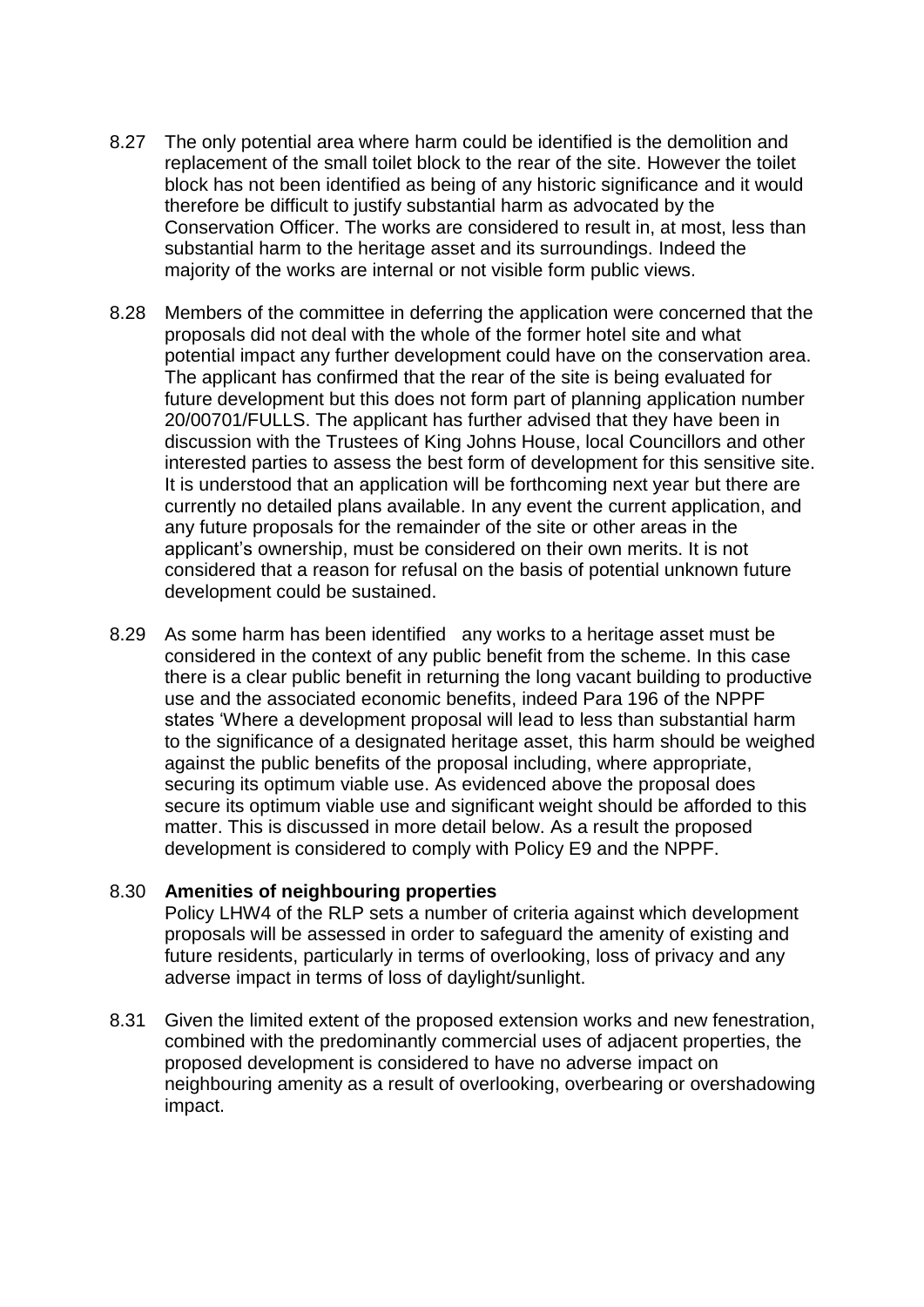- 8.27 The only potential area where harm could be identified is the demolition and replacement of the small toilet block to the rear of the site. However the toilet block has not been identified as being of any historic significance and it would therefore be difficult to justify substantial harm as advocated by the Conservation Officer. The works are considered to result in, at most, less than substantial harm to the heritage asset and its surroundings. Indeed the majority of the works are internal or not visible form public views.
- 8.28 Members of the committee in deferring the application were concerned that the proposals did not deal with the whole of the former hotel site and what potential impact any further development could have on the conservation area. The applicant has confirmed that the rear of the site is being evaluated for future development but this does not form part of planning application number 20/00701/FULLS. The applicant has further advised that they have been in discussion with the Trustees of King Johns House, local Councillors and other interested parties to assess the best form of development for this sensitive site. It is understood that an application will be forthcoming next year but there are currently no detailed plans available. In any event the current application, and any future proposals for the remainder of the site or other areas in the applicant's ownership, must be considered on their own merits. It is not considered that a reason for refusal on the basis of potential unknown future development could be sustained.
- 8.29 As some harm has been identified any works to a heritage asset must be considered in the context of any public benefit from the scheme. In this case there is a clear public benefit in returning the long vacant building to productive use and the associated economic benefits, indeed Para 196 of the NPPF states 'Where a development proposal will lead to less than substantial harm to the significance of a designated heritage asset, this harm should be weighed against the public benefits of the proposal including, where appropriate, securing its optimum viable use. As evidenced above the proposal does secure its optimum viable use and significant weight should be afforded to this matter. This is discussed in more detail below. As a result the proposed development is considered to comply with Policy E9 and the NPPF.

#### 8.30 **Amenities of neighbouring properties**

Policy LHW4 of the RLP sets a number of criteria against which development proposals will be assessed in order to safeguard the amenity of existing and future residents, particularly in terms of overlooking, loss of privacy and any adverse impact in terms of loss of daylight/sunlight.

8.31 Given the limited extent of the proposed extension works and new fenestration, combined with the predominantly commercial uses of adjacent properties, the proposed development is considered to have no adverse impact on neighbouring amenity as a result of overlooking, overbearing or overshadowing impact.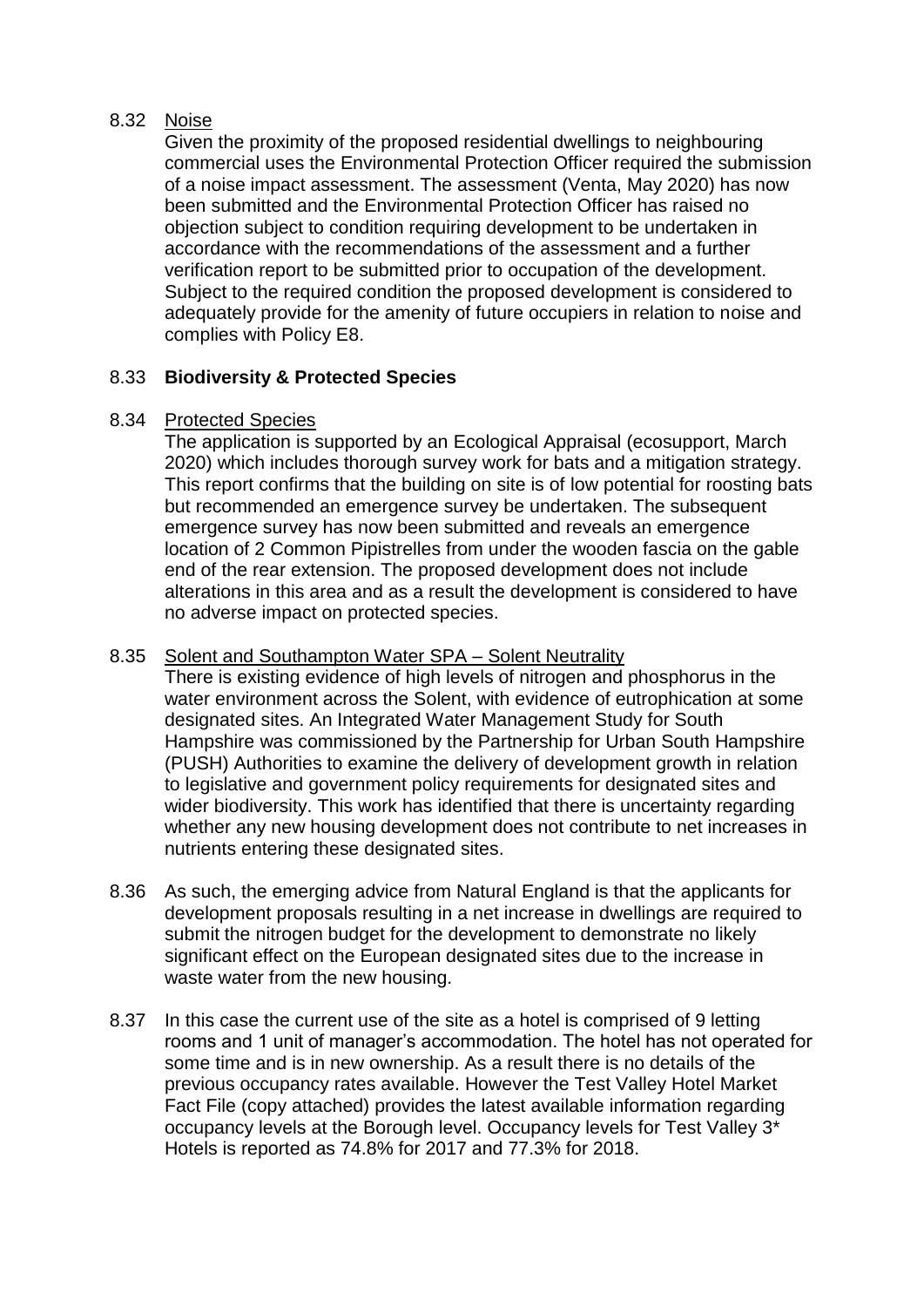#### 8.32 Noise

Given the proximity of the proposed residential dwellings to neighbouring commercial uses the Environmental Protection Officer required the submission of a noise impact assessment. The assessment (Venta, May 2020) has now been submitted and the Environmental Protection Officer has raised no objection subject to condition requiring development to be undertaken in accordance with the recommendations of the assessment and a further verification report to be submitted prior to occupation of the development. Subject to the required condition the proposed development is considered to adequately provide for the amenity of future occupiers in relation to noise and complies with Policy E8.

## 8.33 **Biodiversity & Protected Species**

### 8.34 Protected Species

The application is supported by an Ecological Appraisal (ecosupport, March 2020) which includes thorough survey work for bats and a mitigation strategy. This report confirms that the building on site is of low potential for roosting bats but recommended an emergence survey be undertaken. The subsequent emergence survey has now been submitted and reveals an emergence location of 2 Common Pipistrelles from under the wooden fascia on the gable end of the rear extension. The proposed development does not include alterations in this area and as a result the development is considered to have no adverse impact on protected species.

### 8.35 Solent and Southampton Water SPA – Solent Neutrality

There is existing evidence of high levels of nitrogen and phosphorus in the water environment across the Solent, with evidence of eutrophication at some designated sites. An Integrated Water Management Study for South Hampshire was commissioned by the Partnership for Urban South Hampshire (PUSH) Authorities to examine the delivery of development growth in relation to legislative and government policy requirements for designated sites and wider biodiversity. This work has identified that there is uncertainty regarding whether any new housing development does not contribute to net increases in nutrients entering these designated sites.

- 8.36 As such, the emerging advice from Natural England is that the applicants for development proposals resulting in a net increase in dwellings are required to submit the nitrogen budget for the development to demonstrate no likely significant effect on the European designated sites due to the increase in waste water from the new housing.
- 8.37 In this case the current use of the site as a hotel is comprised of 9 letting rooms and 1 unit of manager's accommodation. The hotel has not operated for some time and is in new ownership. As a result there is no details of the previous occupancy rates available. However the Test Valley Hotel Market Fact File (copy attached) provides the latest available information regarding occupancy levels at the Borough level. Occupancy levels for Test Valley 3\* Hotels is reported as 74.8% for 2017 and 77.3% for 2018.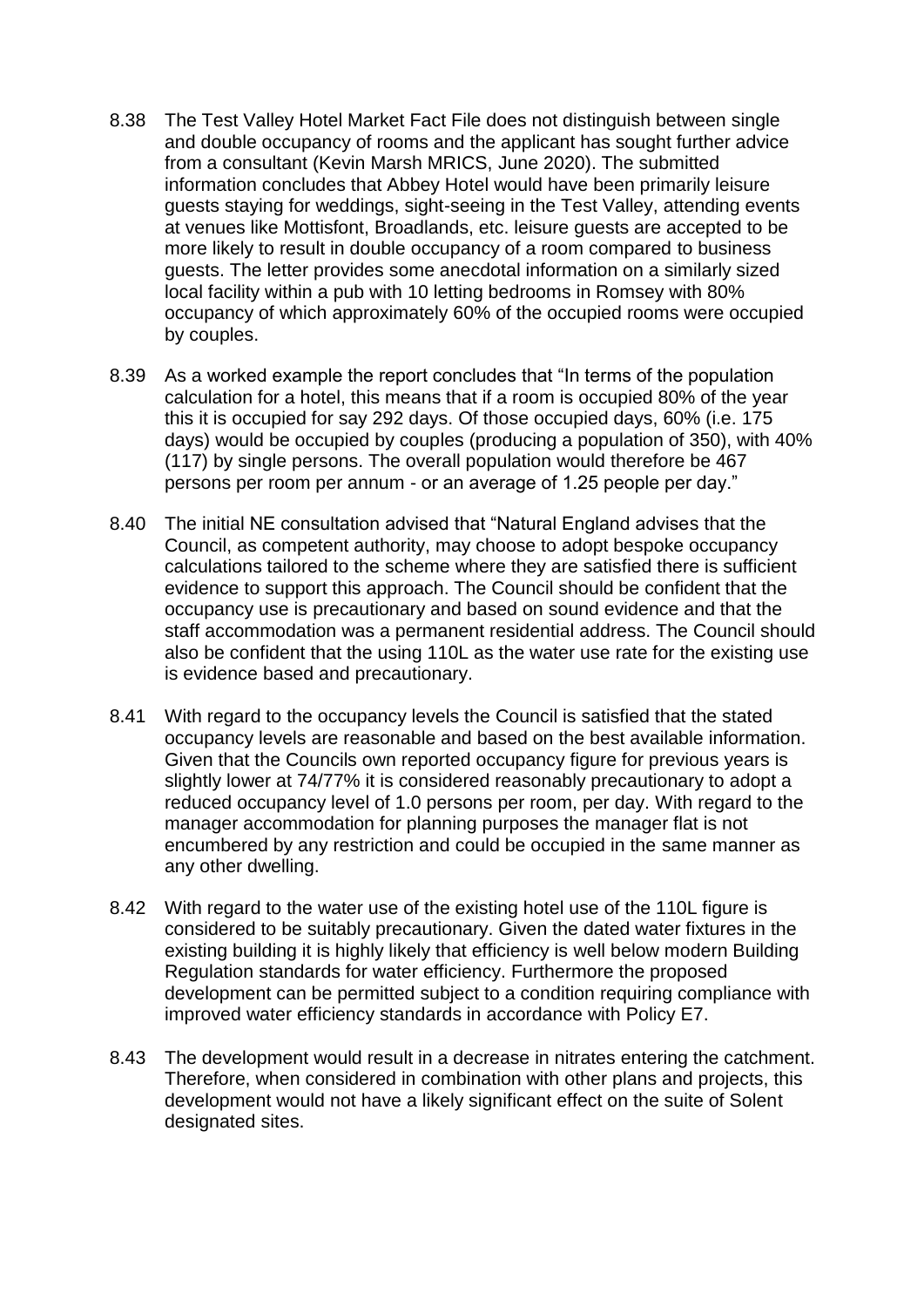- 8.38 The Test Valley Hotel Market Fact File does not distinguish between single and double occupancy of rooms and the applicant has sought further advice from a consultant (Kevin Marsh MRICS, June 2020). The submitted information concludes that Abbey Hotel would have been primarily leisure guests staying for weddings, sight-seeing in the Test Valley, attending events at venues like Mottisfont, Broadlands, etc. leisure guests are accepted to be more likely to result in double occupancy of a room compared to business guests. The letter provides some anecdotal information on a similarly sized local facility within a pub with 10 letting bedrooms in Romsey with 80% occupancy of which approximately 60% of the occupied rooms were occupied by couples.
- 8.39 As a worked example the report concludes that "In terms of the population calculation for a hotel, this means that if a room is occupied 80% of the year this it is occupied for say 292 days. Of those occupied days, 60% (i.e. 175 days) would be occupied by couples (producing a population of 350), with 40% (117) by single persons. The overall population would therefore be 467 persons per room per annum - or an average of 1.25 people per day."
- 8.40 The initial NE consultation advised that "Natural England advises that the Council, as competent authority, may choose to adopt bespoke occupancy calculations tailored to the scheme where they are satisfied there is sufficient evidence to support this approach. The Council should be confident that the occupancy use is precautionary and based on sound evidence and that the staff accommodation was a permanent residential address. The Council should also be confident that the using 110L as the water use rate for the existing use is evidence based and precautionary.
- 8.41 With regard to the occupancy levels the Council is satisfied that the stated occupancy levels are reasonable and based on the best available information. Given that the Councils own reported occupancy figure for previous years is slightly lower at 74/77% it is considered reasonably precautionary to adopt a reduced occupancy level of 1.0 persons per room, per day. With regard to the manager accommodation for planning purposes the manager flat is not encumbered by any restriction and could be occupied in the same manner as any other dwelling.
- 8.42 With regard to the water use of the existing hotel use of the 110L figure is considered to be suitably precautionary. Given the dated water fixtures in the existing building it is highly likely that efficiency is well below modern Building Regulation standards for water efficiency. Furthermore the proposed development can be permitted subject to a condition requiring compliance with improved water efficiency standards in accordance with Policy E7.
- 8.43 The development would result in a decrease in nitrates entering the catchment. Therefore, when considered in combination with other plans and projects, this development would not have a likely significant effect on the suite of Solent designated sites.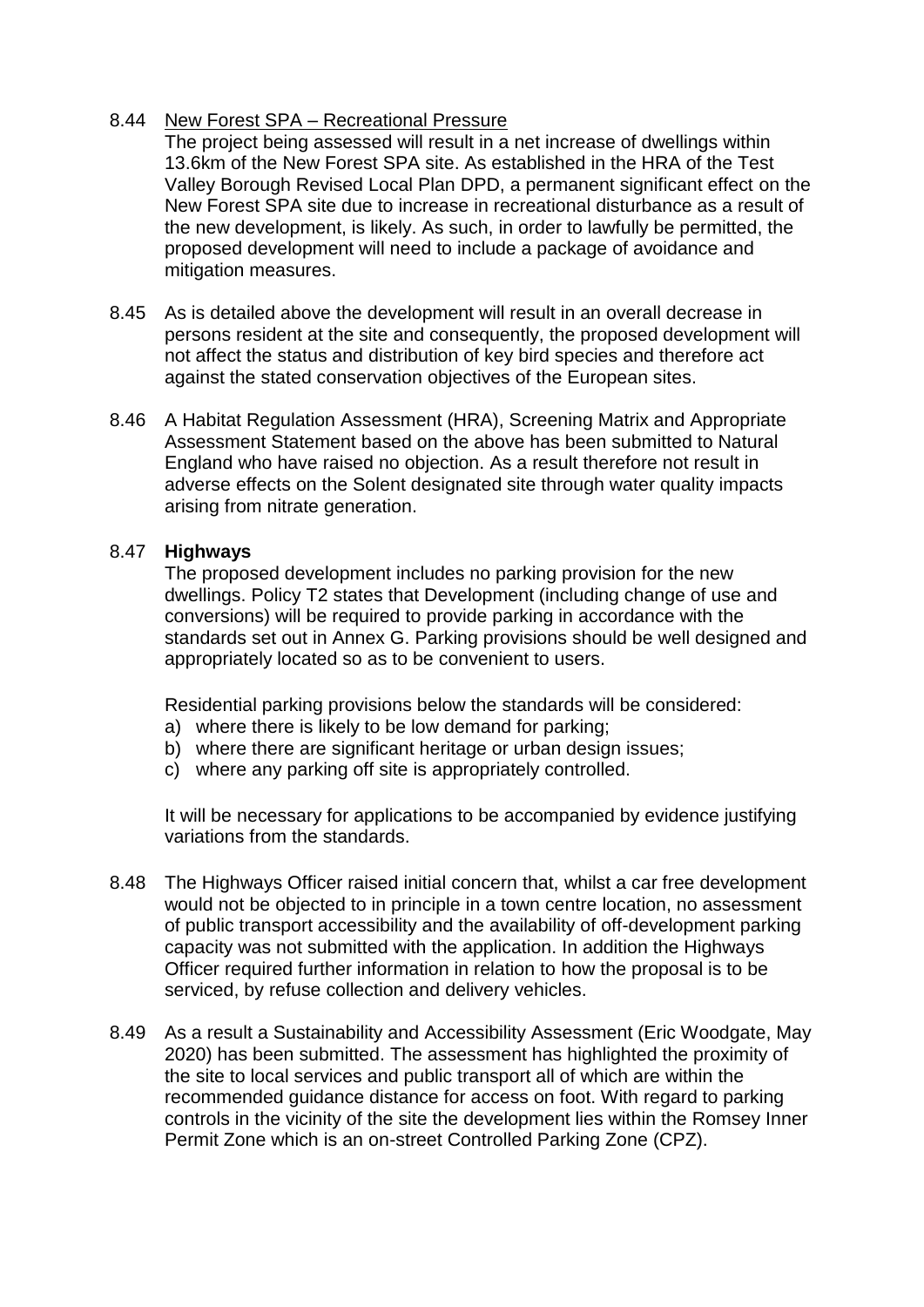#### 8.44 New Forest SPA – Recreational Pressure

The project being assessed will result in a net increase of dwellings within 13.6km of the New Forest SPA site. As established in the HRA of the Test Valley Borough Revised Local Plan DPD, a permanent significant effect on the New Forest SPA site due to increase in recreational disturbance as a result of the new development, is likely. As such, in order to lawfully be permitted, the proposed development will need to include a package of avoidance and mitigation measures.

- 8.45 As is detailed above the development will result in an overall decrease in persons resident at the site and consequently, the proposed development will not affect the status and distribution of key bird species and therefore act against the stated conservation objectives of the European sites.
- 8.46 A Habitat Regulation Assessment (HRA), Screening Matrix and Appropriate Assessment Statement based on the above has been submitted to Natural England who have raised no objection. As a result therefore not result in adverse effects on the Solent designated site through water quality impacts arising from nitrate generation.

#### 8.47 **Highways**

The proposed development includes no parking provision for the new dwellings. Policy T2 states that Development (including change of use and conversions) will be required to provide parking in accordance with the standards set out in Annex G. Parking provisions should be well designed and appropriately located so as to be convenient to users.

Residential parking provisions below the standards will be considered:

- a) where there is likely to be low demand for parking;
- b) where there are significant heritage or urban design issues;
- c) where any parking off site is appropriately controlled.

It will be necessary for applications to be accompanied by evidence justifying variations from the standards.

- 8.48 The Highways Officer raised initial concern that, whilst a car free development would not be objected to in principle in a town centre location, no assessment of public transport accessibility and the availability of off-development parking capacity was not submitted with the application. In addition the Highways Officer required further information in relation to how the proposal is to be serviced, by refuse collection and delivery vehicles.
- 8.49 As a result a Sustainability and Accessibility Assessment (Eric Woodgate, May 2020) has been submitted. The assessment has highlighted the proximity of the site to local services and public transport all of which are within the recommended guidance distance for access on foot. With regard to parking controls in the vicinity of the site the development lies within the Romsey Inner Permit Zone which is an on-street Controlled Parking Zone (CPZ).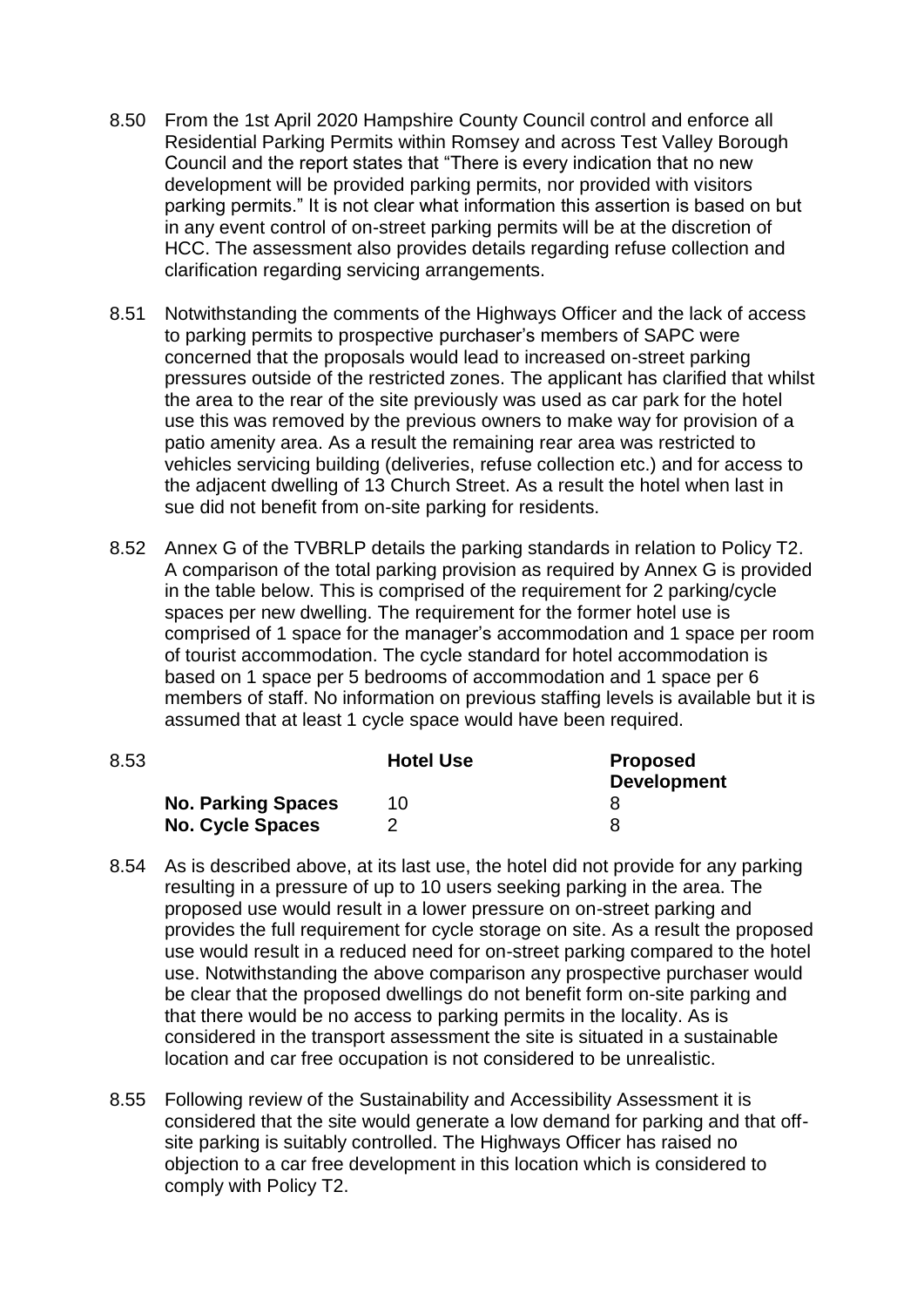- 8.50 From the 1st April 2020 Hampshire County Council control and enforce all Residential Parking Permits within Romsey and across Test Valley Borough Council and the report states that "There is every indication that no new development will be provided parking permits, nor provided with visitors parking permits." It is not clear what information this assertion is based on but in any event control of on-street parking permits will be at the discretion of HCC. The assessment also provides details regarding refuse collection and clarification regarding servicing arrangements.
- 8.51 Notwithstanding the comments of the Highways Officer and the lack of access to parking permits to prospective purchaser's members of SAPC were concerned that the proposals would lead to increased on-street parking pressures outside of the restricted zones. The applicant has clarified that whilst the area to the rear of the site previously was used as car park for the hotel use this was removed by the previous owners to make way for provision of a patio amenity area. As a result the remaining rear area was restricted to vehicles servicing building (deliveries, refuse collection etc.) and for access to the adjacent dwelling of 13 Church Street. As a result the hotel when last in sue did not benefit from on-site parking for residents.
- 8.52 Annex G of the TVBRLP details the parking standards in relation to Policy T2. A comparison of the total parking provision as required by Annex G is provided in the table below. This is comprised of the requirement for 2 parking/cycle spaces per new dwelling. The requirement for the former hotel use is comprised of 1 space for the manager's accommodation and 1 space per room of tourist accommodation. The cycle standard for hotel accommodation is based on 1 space per 5 bedrooms of accommodation and 1 space per 6 members of staff. No information on previous staffing levels is available but it is assumed that at least 1 cycle space would have been required.

| 8.53                      | <b>Hotel Use</b> | <b>Proposed</b><br><b>Development</b> |
|---------------------------|------------------|---------------------------------------|
| <b>No. Parking Spaces</b> | 10               |                                       |
| <b>No. Cycle Spaces</b>   |                  |                                       |

- 8.54 As is described above, at its last use, the hotel did not provide for any parking resulting in a pressure of up to 10 users seeking parking in the area. The proposed use would result in a lower pressure on on-street parking and provides the full requirement for cycle storage on site. As a result the proposed use would result in a reduced need for on-street parking compared to the hotel use. Notwithstanding the above comparison any prospective purchaser would be clear that the proposed dwellings do not benefit form on-site parking and that there would be no access to parking permits in the locality. As is considered in the transport assessment the site is situated in a sustainable location and car free occupation is not considered to be unrealistic.
- 8.55 Following review of the Sustainability and Accessibility Assessment it is considered that the site would generate a low demand for parking and that offsite parking is suitably controlled. The Highways Officer has raised no objection to a car free development in this location which is considered to comply with Policy T2.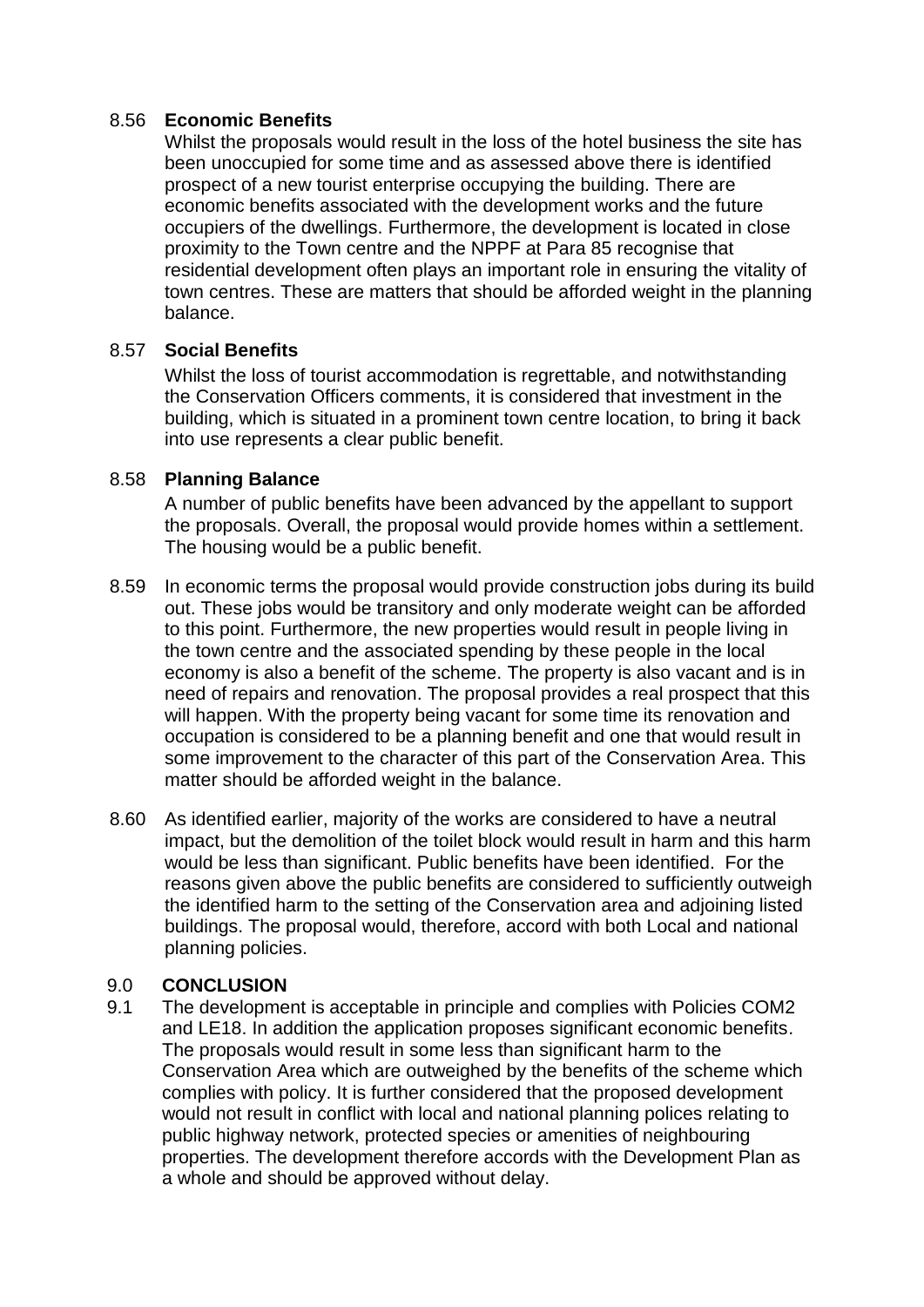### 8.56 **Economic Benefits**

Whilst the proposals would result in the loss of the hotel business the site has been unoccupied for some time and as assessed above there is identified prospect of a new tourist enterprise occupying the building. There are economic benefits associated with the development works and the future occupiers of the dwellings. Furthermore, the development is located in close proximity to the Town centre and the NPPF at Para 85 recognise that residential development often plays an important role in ensuring the vitality of town centres. These are matters that should be afforded weight in the planning balance.

### 8.57 **Social Benefits**

Whilst the loss of tourist accommodation is regrettable, and notwithstanding the Conservation Officers comments, it is considered that investment in the building, which is situated in a prominent town centre location, to bring it back into use represents a clear public benefit.

### 8.58 **Planning Balance**

A number of public benefits have been advanced by the appellant to support the proposals. Overall, the proposal would provide homes within a settlement. The housing would be a public benefit.

- 8.59 In economic terms the proposal would provide construction jobs during its build out. These jobs would be transitory and only moderate weight can be afforded to this point. Furthermore, the new properties would result in people living in the town centre and the associated spending by these people in the local economy is also a benefit of the scheme. The property is also vacant and is in need of repairs and renovation. The proposal provides a real prospect that this will happen. With the property being vacant for some time its renovation and occupation is considered to be a planning benefit and one that would result in some improvement to the character of this part of the Conservation Area. This matter should be afforded weight in the balance.
- 8.60 As identified earlier, majority of the works are considered to have a neutral impact, but the demolition of the toilet block would result in harm and this harm would be less than significant. Public benefits have been identified. For the reasons given above the public benefits are considered to sufficiently outweigh the identified harm to the setting of the Conservation area and adjoining listed buildings. The proposal would, therefore, accord with both Local and national planning policies.

#### 9.0 **CONCLUSION**

9.1 The development is acceptable in principle and complies with Policies COM2 and LE18. In addition the application proposes significant economic benefits. The proposals would result in some less than significant harm to the Conservation Area which are outweighed by the benefits of the scheme which complies with policy. It is further considered that the proposed development would not result in conflict with local and national planning polices relating to public highway network, protected species or amenities of neighbouring properties. The development therefore accords with the Development Plan as a whole and should be approved without delay.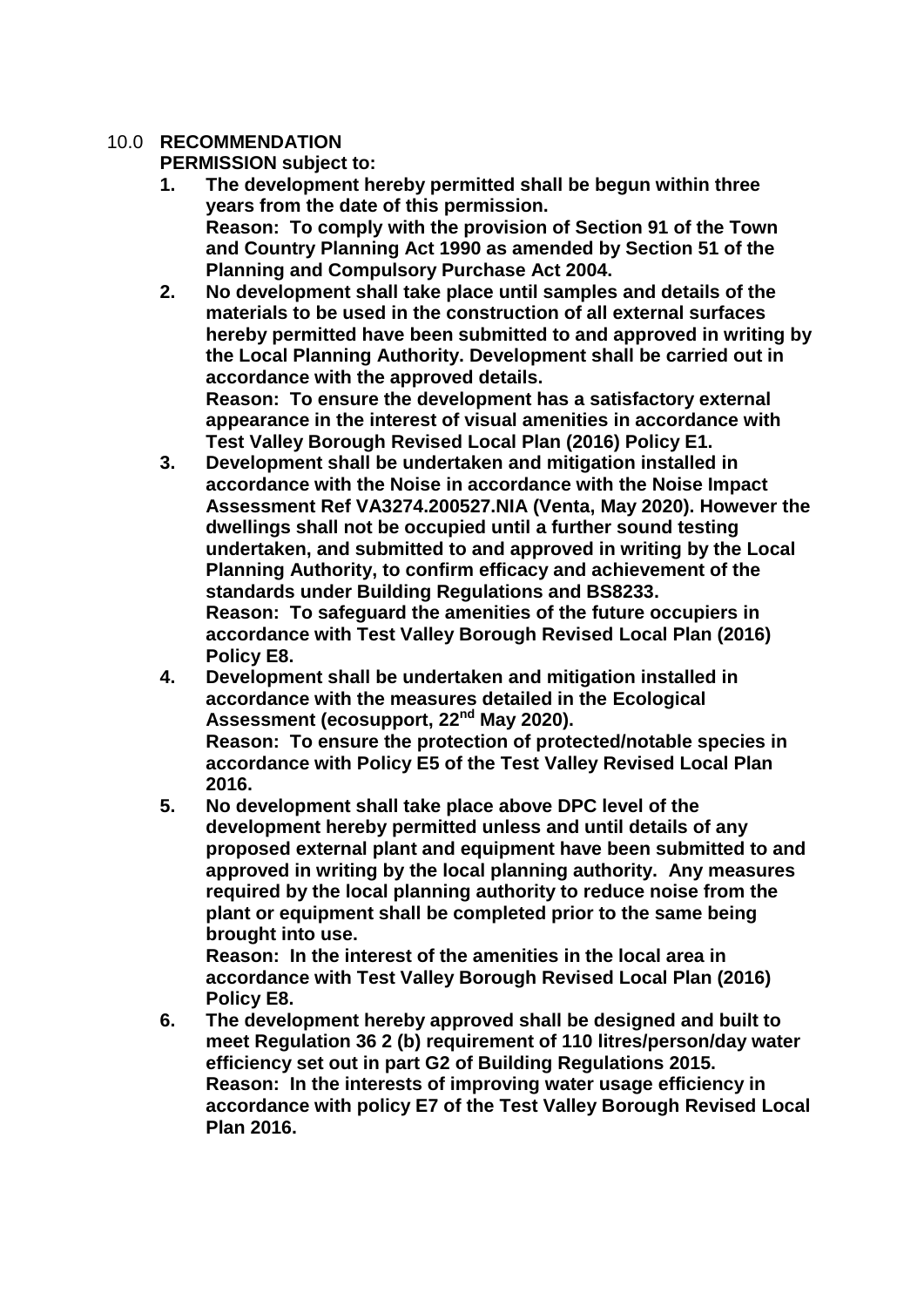### 10.0 **RECOMMENDATION**

**PERMISSION subject to:**

- **1. The development hereby permitted shall be begun within three years from the date of this permission. Reason: To comply with the provision of Section 91 of the Town and Country Planning Act 1990 as amended by Section 51 of the Planning and Compulsory Purchase Act 2004.**
- **2. No development shall take place until samples and details of the materials to be used in the construction of all external surfaces hereby permitted have been submitted to and approved in writing by the Local Planning Authority. Development shall be carried out in accordance with the approved details. Reason: To ensure the development has a satisfactory external appearance in the interest of visual amenities in accordance with**
- **Test Valley Borough Revised Local Plan (2016) Policy E1. 3. Development shall be undertaken and mitigation installed in accordance with the Noise in accordance with the Noise Impact Assessment Ref VA3274.200527.NIA (Venta, May 2020). However the dwellings shall not be occupied until a further sound testing undertaken, and submitted to and approved in writing by the Local Planning Authority, to confirm efficacy and achievement of the standards under Building Regulations and BS8233. Reason: To safeguard the amenities of the future occupiers in accordance with Test Valley Borough Revised Local Plan (2016) Policy E8.**
- **4. Development shall be undertaken and mitigation installed in accordance with the measures detailed in the Ecological Assessment (ecosupport, 22nd May 2020). Reason: To ensure the protection of protected/notable species in accordance with Policy E5 of the Test Valley Revised Local Plan 2016.**
- **5. No development shall take place above DPC level of the development hereby permitted unless and until details of any proposed external plant and equipment have been submitted to and approved in writing by the local planning authority. Any measures required by the local planning authority to reduce noise from the plant or equipment shall be completed prior to the same being brought into use.**

**Reason: In the interest of the amenities in the local area in accordance with Test Valley Borough Revised Local Plan (2016) Policy E8.**

**6. The development hereby approved shall be designed and built to meet Regulation 36 2 (b) requirement of 110 litres/person/day water efficiency set out in part G2 of Building Regulations 2015. Reason: In the interests of improving water usage efficiency in accordance with policy E7 of the Test Valley Borough Revised Local Plan 2016.**